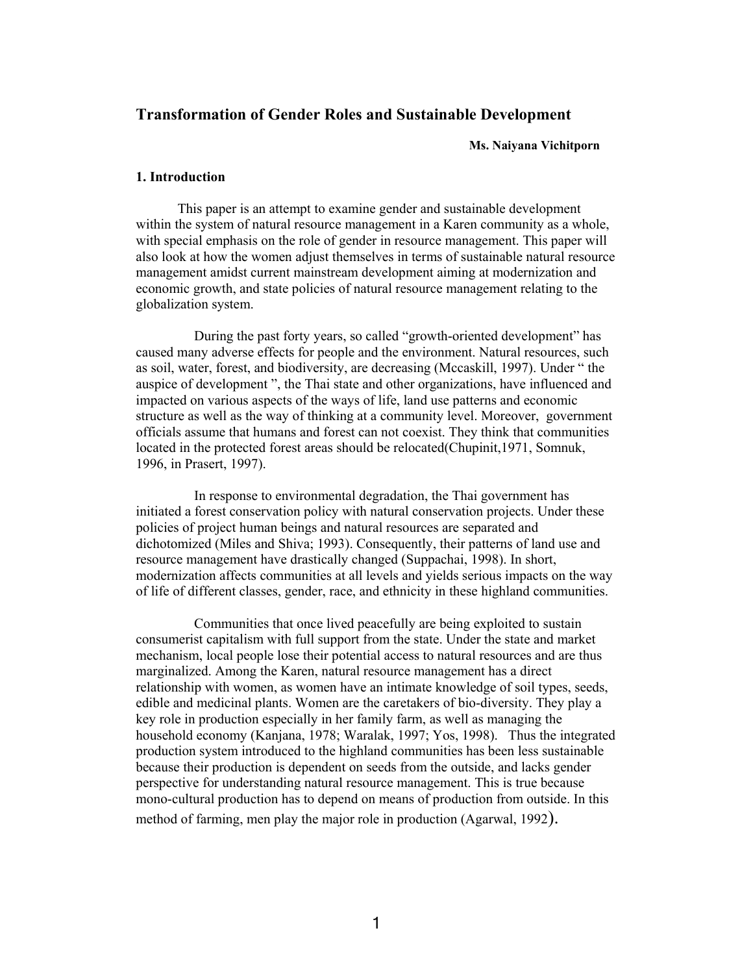# **Transformation of Gender Roles and Sustainable Development**

**Ms. Naiyana Vichitporn**

### **1. Introduction**

This paper is an attempt to examine gender and sustainable development within the system of natural resource management in a Karen community as a whole, with special emphasis on the role of gender in resource management. This paper will also look at how the women adjust themselves in terms of sustainable natural resource management amidst current mainstream development aiming at modernization and economic growth, and state policies of natural resource management relating to the globalization system.

During the past forty years, so called "growth-oriented development" has caused many adverse effects for people and the environment. Natural resources, such as soil, water, forest, and biodiversity, are decreasing (Mccaskill, 1997). Under " the auspice of development ", the Thai state and other organizations, have influenced and impacted on various aspects of the ways of life, land use patterns and economic structure as well as the way of thinking at a community level. Moreover, government officials assume that humans and forest can not coexist. They think that communities located in the protected forest areas should be relocated(Chupinit,1971, Somnuk, 1996, in Prasert, 1997).

In response to environmental degradation, the Thai government has initiated a forest conservation policy with natural conservation projects. Under these policies of project human beings and natural resources are separated and dichotomized (Miles and Shiva; 1993). Consequently, their patterns of land use and resource management have drastically changed (Suppachai, 1998). In short, modernization affects communities at all levels and yields serious impacts on the way of life of different classes, gender, race, and ethnicity in these highland communities.

Communities that once lived peacefully are being exploited to sustain consumerist capitalism with full support from the state. Under the state and market mechanism, local people lose their potential access to natural resources and are thus marginalized. Among the Karen, natural resource management has a direct relationship with women, as women have an intimate knowledge of soil types, seeds, edible and medicinal plants. Women are the caretakers of bio-diversity. They play a key role in production especially in her family farm, as well as managing the household economy (Kanjana, 1978; Waralak, 1997; Yos, 1998). Thus the integrated production system introduced to the highland communities has been less sustainable because their production is dependent on seeds from the outside, and lacks gender perspective for understanding natural resource management. This is true because mono-cultural production has to depend on means of production from outside. In this method of farming, men play the major role in production (Agarwal, 1992).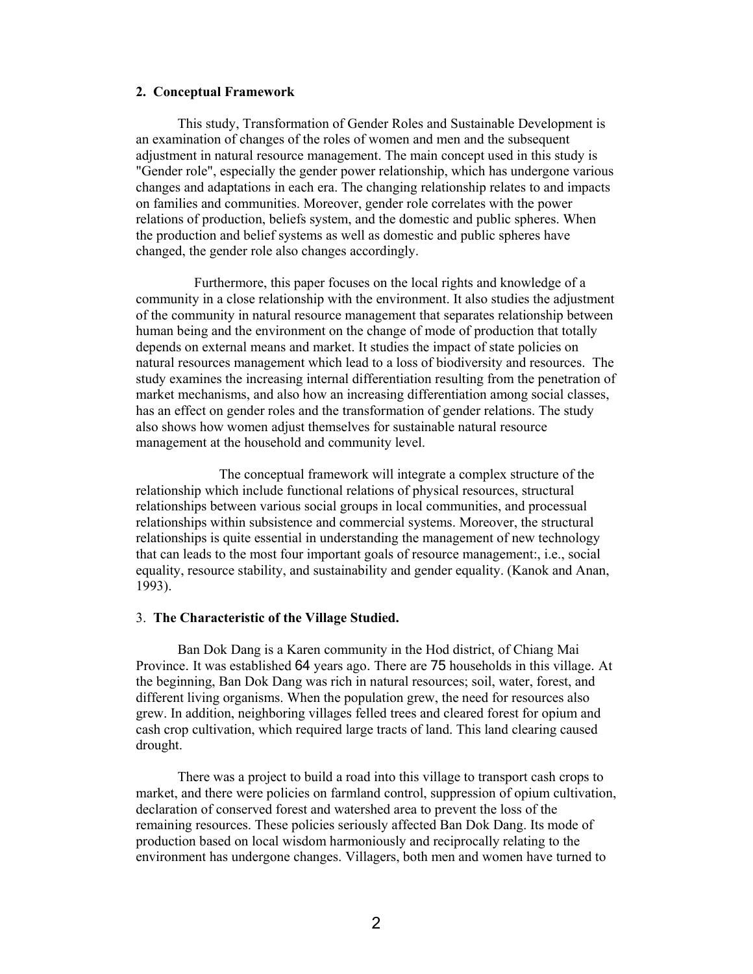### **2. Conceptual Framework**

 This study, Transformation of Gender Roles and Sustainable Development is an examination of changes of the roles of women and men and the subsequent adjustment in natural resource management. The main concept used in this study is "Gender role", especially the gender power relationship, which has undergone various changes and adaptations in each era. The changing relationship relates to and impacts on families and communities. Moreover, gender role correlates with the power relations of production, beliefs system, and the domestic and public spheres. When the production and belief systems as well as domestic and public spheres have changed, the gender role also changes accordingly.

Furthermore, this paper focuses on the local rights and knowledge of a community in a close relationship with the environment. It also studies the adjustment of the community in natural resource management that separates relationship between human being and the environment on the change of mode of production that totally depends on external means and market. It studies the impact of state policies on natural resources management which lead to a loss of biodiversity and resources. The study examines the increasing internal differentiation resulting from the penetration of market mechanisms, and also how an increasing differentiation among social classes, has an effect on gender roles and the transformation of gender relations. The study also shows how women adjust themselves for sustainable natural resource management at the household and community level.

 The conceptual framework will integrate a complex structure of the relationship which include functional relations of physical resources, structural relationships between various social groups in local communities, and processual relationships within subsistence and commercial systems. Moreover, the structural relationships is quite essential in understanding the management of new technology that can leads to the most four important goals of resource management:, i.e., social equality, resource stability, and sustainability and gender equality. (Kanok and Anan, 1993).

### 3. **The Characteristic of the Village Studied.**

 Ban Dok Dang is a Karen community in the Hod district, of Chiang Mai Province. It was established 64 years ago. There are 75 households in this village. At the beginning, Ban Dok Dang was rich in natural resources; soil, water, forest, and different living organisms. When the population grew, the need for resources also grew. In addition, neighboring villages felled trees and cleared forest for opium and cash crop cultivation, which required large tracts of land. This land clearing caused drought.

 There was a project to build a road into this village to transport cash crops to market, and there were policies on farmland control, suppression of opium cultivation, declaration of conserved forest and watershed area to prevent the loss of the remaining resources. These policies seriously affected Ban Dok Dang. Its mode of production based on local wisdom harmoniously and reciprocally relating to the environment has undergone changes. Villagers, both men and women have turned to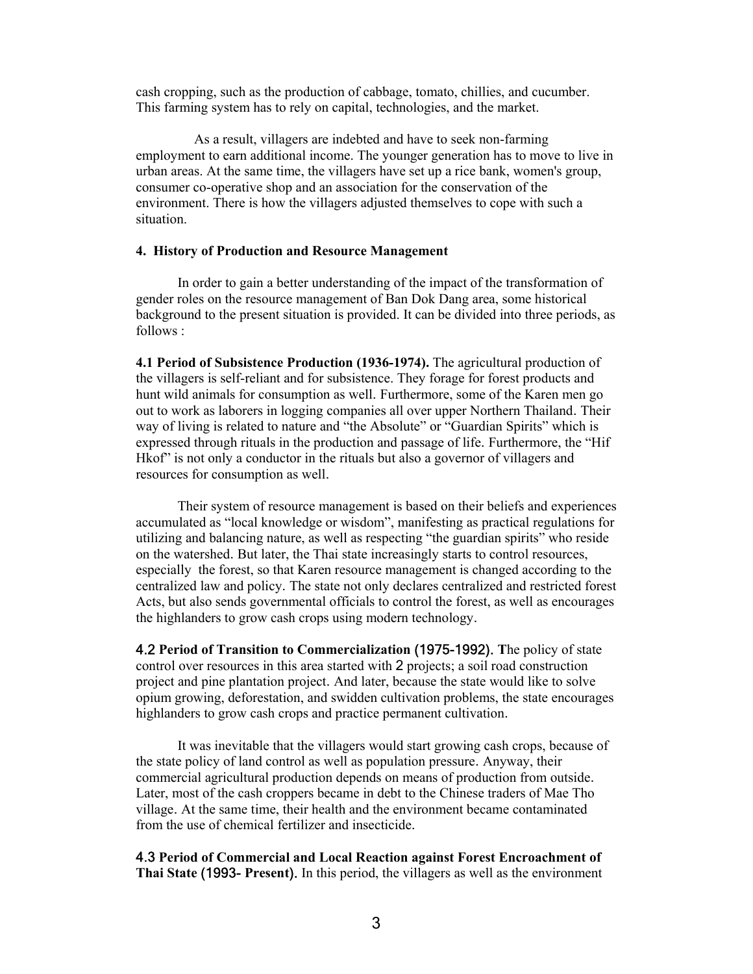cash cropping, such as the production of cabbage, tomato, chillies, and cucumber. This farming system has to rely on capital, technologies, and the market.

As a result, villagers are indebted and have to seek non-farming employment to earn additional income. The younger generation has to move to live in urban areas. At the same time, the villagers have set up a rice bank, women's group, consumer co-operative shop and an association for the conservation of the environment. There is how the villagers adjusted themselves to cope with such a situation.

# **4. History of Production and Resource Management**

In order to gain a better understanding of the impact of the transformation of gender roles on the resource management of Ban Dok Dang area, some historical background to the present situation is provided. It can be divided into three periods, as follows :

**4.1 Period of Subsistence Production (1936-1974).** The agricultural production of the villagers is self-reliant and for subsistence. They forage for forest products and hunt wild animals for consumption as well. Furthermore, some of the Karen men go out to work as laborers in logging companies all over upper Northern Thailand. Their way of living is related to nature and "the Absolute" or "Guardian Spirits" which is expressed through rituals in the production and passage of life. Furthermore, the "Hif Hkof" is not only a conductor in the rituals but also a governor of villagers and resources for consumption as well.

Their system of resource management is based on their beliefs and experiences accumulated as "local knowledge or wisdom", manifesting as practical regulations for utilizing and balancing nature, as well as respecting "the guardian spirits" who reside on the watershed. But later, the Thai state increasingly starts to control resources, especially the forest, so that Karen resource management is changed according to the centralized law and policy. The state not only declares centralized and restricted forest Acts, but also sends governmental officials to control the forest, as well as encourages the highlanders to grow cash crops using modern technology.

4.2 **Period of Transition to Commercialization** (1975-1992). **T**he policy of state control over resources in this area started with 2 projects; a soil road construction project and pine plantation project. And later, because the state would like to solve opium growing, deforestation, and swidden cultivation problems, the state encourages highlanders to grow cash crops and practice permanent cultivation.

It was inevitable that the villagers would start growing cash crops, because of the state policy of land control as well as population pressure. Anyway, their commercial agricultural production depends on means of production from outside. Later, most of the cash croppers became in debt to the Chinese traders of Mae Tho village. At the same time, their health and the environment became contaminated from the use of chemical fertilizer and insecticide.

4.3 **Period of Commercial and Local Reaction against Forest Encroachment of Thai State** (1993- **Present**). In this period, the villagers as well as the environment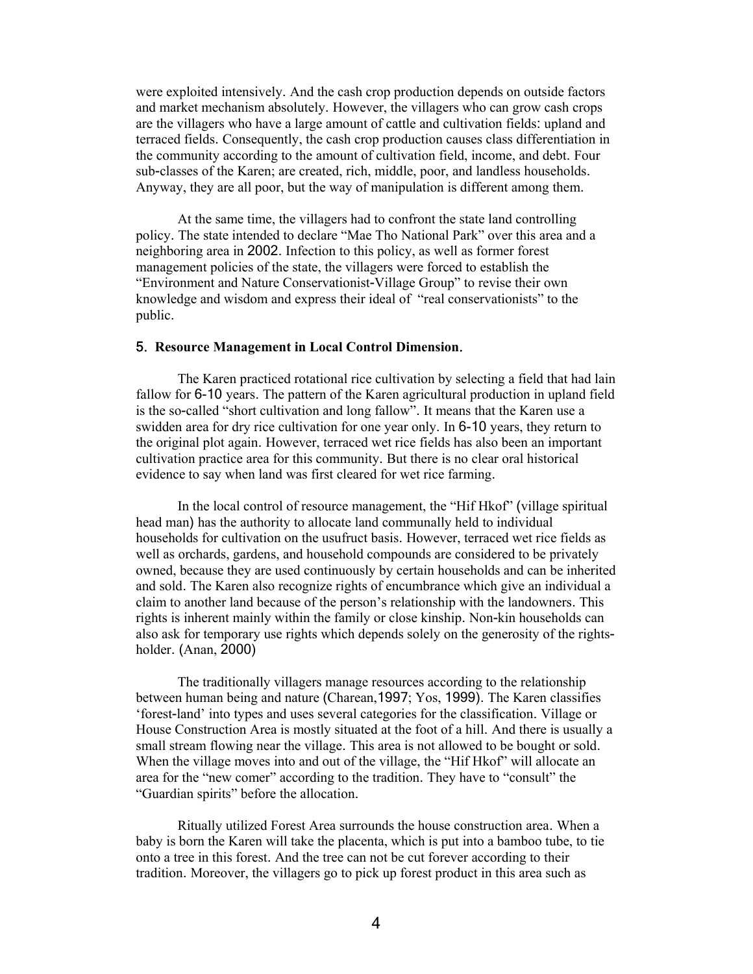were exploited intensively. And the cash crop production depends on outside factors and market mechanism absolutely. However, the villagers who can grow cash crops are the villagers who have a large amount of cattle and cultivation fields: upland and terraced fields. Consequently, the cash crop production causes class differentiation in the community according to the amount of cultivation field, income, and debt. Four sub-classes of the Karen; are created, rich, middle, poor, and landless households. Anyway, they are all poor, but the way of manipulation is different among them.

 At the same time, the villagers had to confront the state land controlling policy. The state intended to declare "Mae Tho National Park" over this area and a neighboring area in 2002. Infection to this policy, as well as former forest management policies of the state, the villagers were forced to establish the "Environment and Nature Conservationist-Village Group" to revise their own knowledge and wisdom and express their ideal of "real conservationists" to the public.

### 5. **Resource Management in Local Control Dimension**.

The Karen practiced rotational rice cultivation by selecting a field that had lain fallow for 6-10 years. The pattern of the Karen agricultural production in upland field is the so-called "short cultivation and long fallow". It means that the Karen use a swidden area for dry rice cultivation for one year only. In 6-10 years, they return to the original plot again. However, terraced wet rice fields has also been an important cultivation practice area for this community. But there is no clear oral historical evidence to say when land was first cleared for wet rice farming.

In the local control of resource management, the "Hif Hkof" (village spiritual head man) has the authority to allocate land communally held to individual households for cultivation on the usufruct basis. However, terraced wet rice fields as well as orchards, gardens, and household compounds are considered to be privately owned, because they are used continuously by certain households and can be inherited and sold. The Karen also recognize rights of encumbrance which give an individual a claim to another land because of the person's relationship with the landowners. This rights is inherent mainly within the family or close kinship. Non-kin households can also ask for temporary use rights which depends solely on the generosity of the rightsholder. (Anan, 2000)

The traditionally villagers manage resources according to the relationship between human being and nature (Charean,1997; Yos, 1999). The Karen classifies 'forest-land' into types and uses several categories for the classification. Village or House Construction Area is mostly situated at the foot of a hill. And there is usually a small stream flowing near the village. This area is not allowed to be bought or sold. When the village moves into and out of the village, the "Hif Hkof" will allocate an area for the "new comer" according to the tradition. They have to "consult" the "Guardian spirits" before the allocation.

Ritually utilized Forest Area surrounds the house construction area. When a baby is born the Karen will take the placenta, which is put into a bamboo tube, to tie onto a tree in this forest. And the tree can not be cut forever according to their tradition. Moreover, the villagers go to pick up forest product in this area such as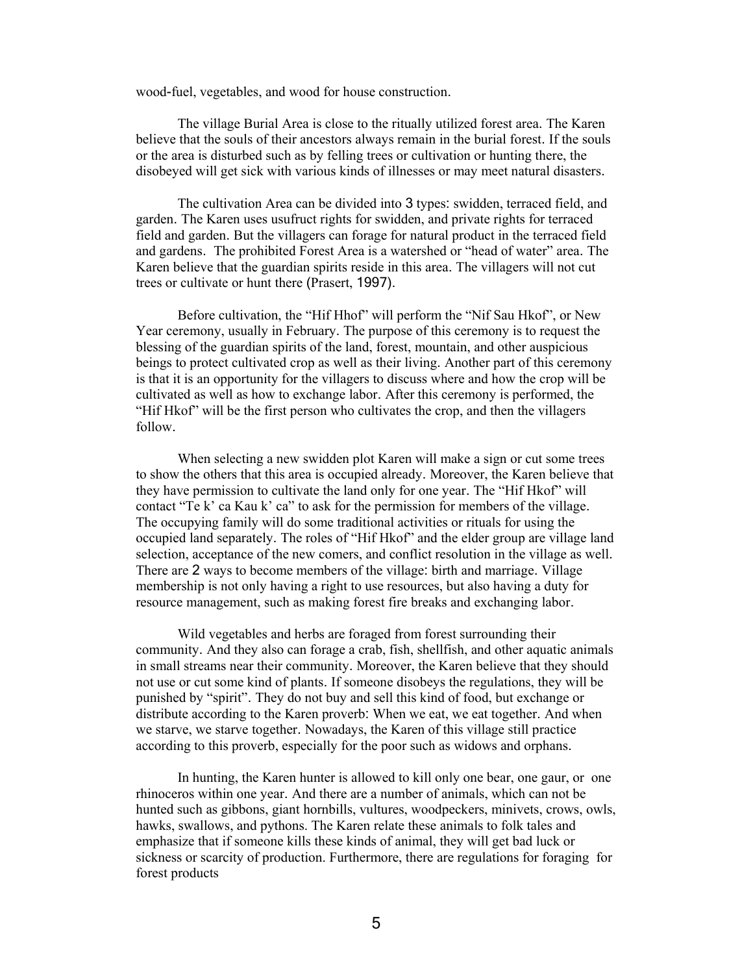wood-fuel, vegetables, and wood for house construction.

The village Burial Area is close to the ritually utilized forest area. The Karen believe that the souls of their ancestors always remain in the burial forest. If the souls or the area is disturbed such as by felling trees or cultivation or hunting there, the disobeyed will get sick with various kinds of illnesses or may meet natural disasters.

The cultivation Area can be divided into 3 types: swidden, terraced field, and garden. The Karen uses usufruct rights for swidden, and private rights for terraced field and garden. But the villagers can forage for natural product in the terraced field and gardens. The prohibited Forest Area is a watershed or "head of water" area. The Karen believe that the guardian spirits reside in this area. The villagers will not cut trees or cultivate or hunt there (Prasert, 1997).

Before cultivation, the "Hif Hhof" will perform the "Nif Sau Hkof", or New Year ceremony, usually in February. The purpose of this ceremony is to request the blessing of the guardian spirits of the land, forest, mountain, and other auspicious beings to protect cultivated crop as well as their living. Another part of this ceremony is that it is an opportunity for the villagers to discuss where and how the crop will be cultivated as well as how to exchange labor. After this ceremony is performed, the "Hif Hkof" will be the first person who cultivates the crop, and then the villagers follow.

When selecting a new swidden plot Karen will make a sign or cut some trees to show the others that this area is occupied already. Moreover, the Karen believe that they have permission to cultivate the land only for one year. The "Hif Hkof" will contact "Te k' ca Kau k' ca" to ask for the permission for members of the village. The occupying family will do some traditional activities or rituals for using the occupied land separately. The roles of "Hif Hkof" and the elder group are village land selection, acceptance of the new comers, and conflict resolution in the village as well. There are 2 ways to become members of the village: birth and marriage. Village membership is not only having a right to use resources, but also having a duty for resource management, such as making forest fire breaks and exchanging labor.

Wild vegetables and herbs are foraged from forest surrounding their community. And they also can forage a crab, fish, shellfish, and other aquatic animals in small streams near their community. Moreover, the Karen believe that they should not use or cut some kind of plants. If someone disobeys the regulations, they will be punished by "spirit". They do not buy and sell this kind of food, but exchange or distribute according to the Karen proverb: When we eat, we eat together. And when we starve, we starve together. Nowadays, the Karen of this village still practice according to this proverb, especially for the poor such as widows and orphans.

 In hunting, the Karen hunter is allowed to kill only one bear, one gaur, or one rhinoceros within one year. And there are a number of animals, which can not be hunted such as gibbons, giant hornbills, vultures, woodpeckers, minivets, crows, owls, hawks, swallows, and pythons. The Karen relate these animals to folk tales and emphasize that if someone kills these kinds of animal, they will get bad luck or sickness or scarcity of production. Furthermore, there are regulations for foraging for forest products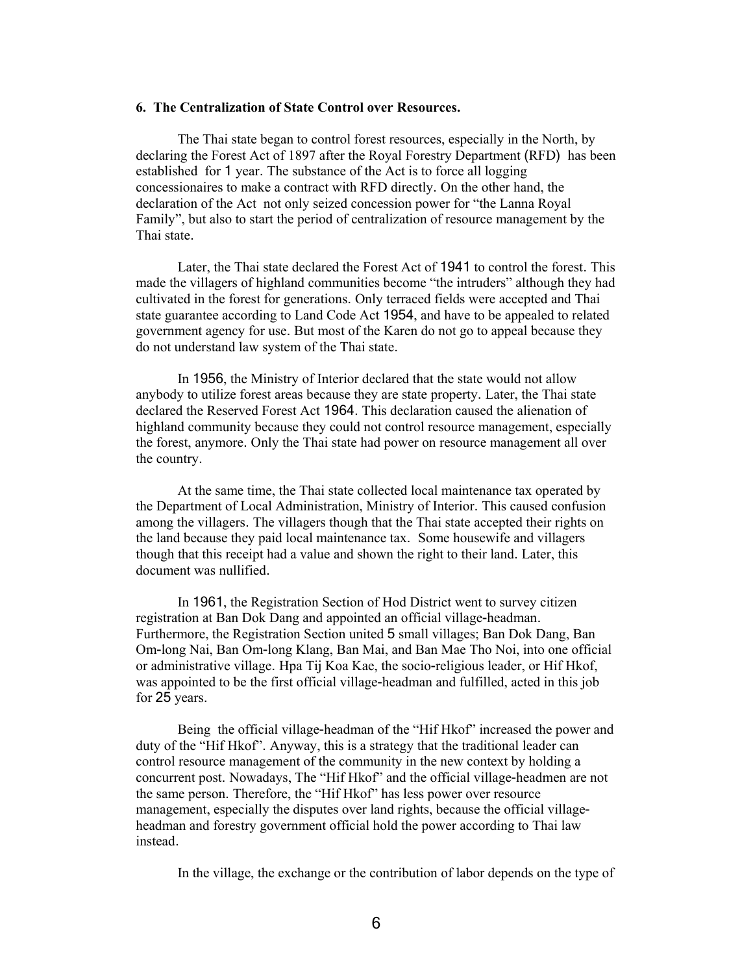## **6. The Centralization of State Control over Resources.**

The Thai state began to control forest resources, especially in the North, by declaring the Forest Act of 1897 after the Royal Forestry Department (RFD) has been established for 1 year. The substance of the Act is to force all logging concessionaires to make a contract with RFD directly. On the other hand, the declaration of the Act not only seized concession power for "the Lanna Royal Family", but also to start the period of centralization of resource management by the Thai state.

Later, the Thai state declared the Forest Act of 1941 to control the forest. This made the villagers of highland communities become "the intruders" although they had cultivated in the forest for generations. Only terraced fields were accepted and Thai state guarantee according to Land Code Act 1954, and have to be appealed to related government agency for use. But most of the Karen do not go to appeal because they do not understand law system of the Thai state.

In 1956, the Ministry of Interior declared that the state would not allow anybody to utilize forest areas because they are state property. Later, the Thai state declared the Reserved Forest Act 1964. This declaration caused the alienation of highland community because they could not control resource management, especially the forest, anymore. Only the Thai state had power on resource management all over the country.

At the same time, the Thai state collected local maintenance tax operated by the Department of Local Administration, Ministry of Interior. This caused confusion among the villagers. The villagers though that the Thai state accepted their rights on the land because they paid local maintenance tax. Some housewife and villagers though that this receipt had a value and shown the right to their land. Later, this document was nullified.

In 1961, the Registration Section of Hod District went to survey citizen registration at Ban Dok Dang and appointed an official village-headman. Furthermore, the Registration Section united 5 small villages; Ban Dok Dang, Ban Om-long Nai, Ban Om-long Klang, Ban Mai, and Ban Mae Tho Noi, into one official or administrative village. Hpa Tij Koa Kae, the socio-religious leader, or Hif Hkof, was appointed to be the first official village-headman and fulfilled, acted in this job for 25 years.

Being the official village-headman of the "Hif Hkof" increased the power and duty of the "Hif Hkof". Anyway, this is a strategy that the traditional leader can control resource management of the community in the new context by holding a concurrent post. Nowadays, The "Hif Hkof" and the official village-headmen are not the same person. Therefore, the "Hif Hkof" has less power over resource management, especially the disputes over land rights, because the official villageheadman and forestry government official hold the power according to Thai law instead.

In the village, the exchange or the contribution of labor depends on the type of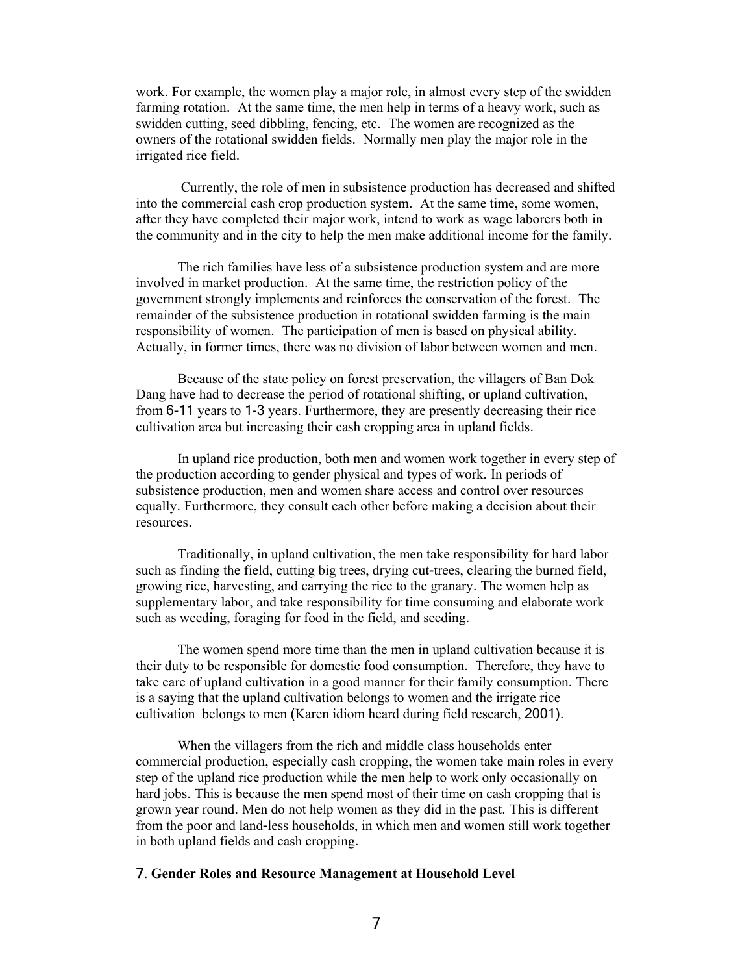work. For example, the women play a major role, in almost every step of the swidden farming rotation. At the same time, the men help in terms of a heavy work, such as swidden cutting, seed dibbling, fencing, etc. The women are recognized as the owners of the rotational swidden fields. Normally men play the major role in the irrigated rice field.

 Currently, the role of men in subsistence production has decreased and shifted into the commercial cash crop production system. At the same time, some women, after they have completed their major work, intend to work as wage laborers both in the community and in the city to help the men make additional income for the family.

 The rich families have less of a subsistence production system and are more involved in market production. At the same time, the restriction policy of the government strongly implements and reinforces the conservation of the forest. The remainder of the subsistence production in rotational swidden farming is the main responsibility of women. The participation of men is based on physical ability. Actually, in former times, there was no division of labor between women and men.

Because of the state policy on forest preservation, the villagers of Ban Dok Dang have had to decrease the period of rotational shifting, or upland cultivation, from 6-11 years to 1-3 years. Furthermore, they are presently decreasing their rice cultivation area but increasing their cash cropping area in upland fields.

In upland rice production, both men and women work together in every step of the production according to gender physical and types of work. In periods of subsistence production, men and women share access and control over resources equally. Furthermore, they consult each other before making a decision about their resources.

Traditionally, in upland cultivation, the men take responsibility for hard labor such as finding the field, cutting big trees, drying cut-trees, clearing the burned field, growing rice, harvesting, and carrying the rice to the granary. The women help as supplementary labor, and take responsibility for time consuming and elaborate work such as weeding, foraging for food in the field, and seeding.

The women spend more time than the men in upland cultivation because it is their duty to be responsible for domestic food consumption. Therefore, they have to take care of upland cultivation in a good manner for their family consumption. There is a saying that the upland cultivation belongs to women and the irrigate rice cultivation belongs to men (Karen idiom heard during field research, 2001).

When the villagers from the rich and middle class households enter commercial production, especially cash cropping, the women take main roles in every step of the upland rice production while the men help to work only occasionally on hard jobs. This is because the men spend most of their time on cash cropping that is grown year round. Men do not help women as they did in the past. This is different from the poor and land-less households, in which men and women still work together in both upland fields and cash cropping.

### 7. **Gender Roles and Resource Management at Household Level**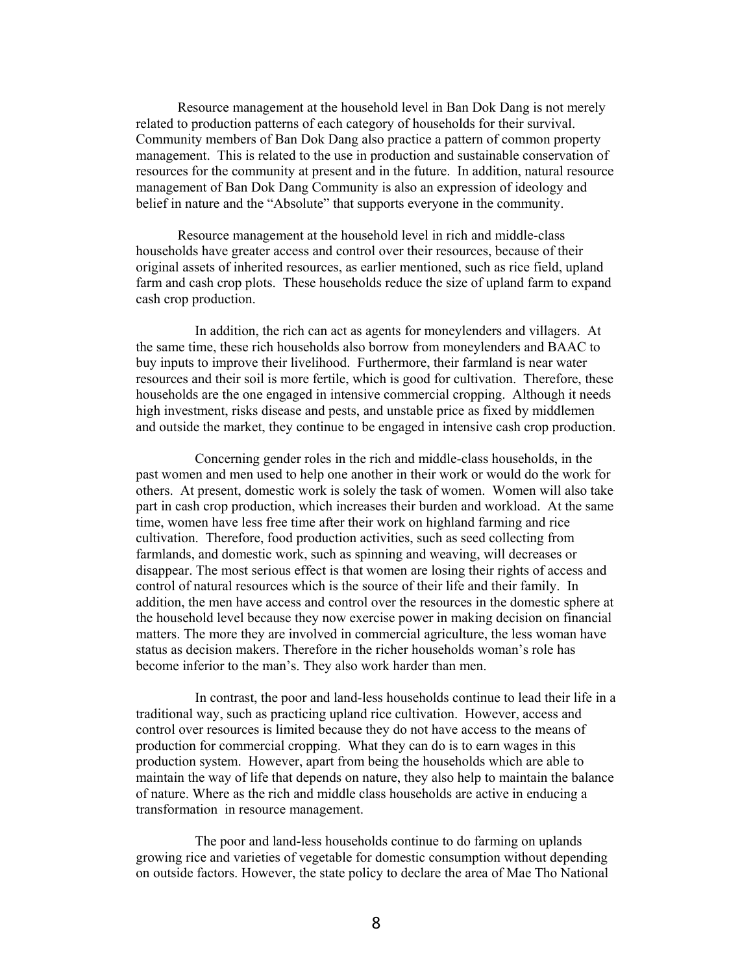Resource management at the household level in Ban Dok Dang is not merely related to production patterns of each category of households for their survival. Community members of Ban Dok Dang also practice a pattern of common property management. This is related to the use in production and sustainable conservation of resources for the community at present and in the future. In addition, natural resource management of Ban Dok Dang Community is also an expression of ideology and belief in nature and the "Absolute" that supports everyone in the community.

 Resource management at the household level in rich and middle-class households have greater access and control over their resources, because of their original assets of inherited resources, as earlier mentioned, such as rice field, upland farm and cash crop plots. These households reduce the size of upland farm to expand cash crop production.

In addition, the rich can act as agents for moneylenders and villagers. At the same time, these rich households also borrow from moneylenders and BAAC to buy inputs to improve their livelihood. Furthermore, their farmland is near water resources and their soil is more fertile, which is good for cultivation. Therefore, these households are the one engaged in intensive commercial cropping. Although it needs high investment, risks disease and pests, and unstable price as fixed by middlemen and outside the market, they continue to be engaged in intensive cash crop production.

Concerning gender roles in the rich and middle-class households, in the past women and men used to help one another in their work or would do the work for others. At present, domestic work is solely the task of women. Women will also take part in cash crop production, which increases their burden and workload. At the same time, women have less free time after their work on highland farming and rice cultivation. Therefore, food production activities, such as seed collecting from farmlands, and domestic work, such as spinning and weaving, will decreases or disappear. The most serious effect is that women are losing their rights of access and control of natural resources which is the source of their life and their family. In addition, the men have access and control over the resources in the domestic sphere at the household level because they now exercise power in making decision on financial matters. The more they are involved in commercial agriculture, the less woman have status as decision makers. Therefore in the richer households woman's role has become inferior to the man's. They also work harder than men.

In contrast, the poor and land-less households continue to lead their life in a traditional way, such as practicing upland rice cultivation. However, access and control over resources is limited because they do not have access to the means of production for commercial cropping. What they can do is to earn wages in this production system. However, apart from being the households which are able to maintain the way of life that depends on nature, they also help to maintain the balance of nature. Where as the rich and middle class households are active in enducing a transformation in resource management.

The poor and land-less households continue to do farming on uplands growing rice and varieties of vegetable for domestic consumption without depending on outside factors. However, the state policy to declare the area of Mae Tho National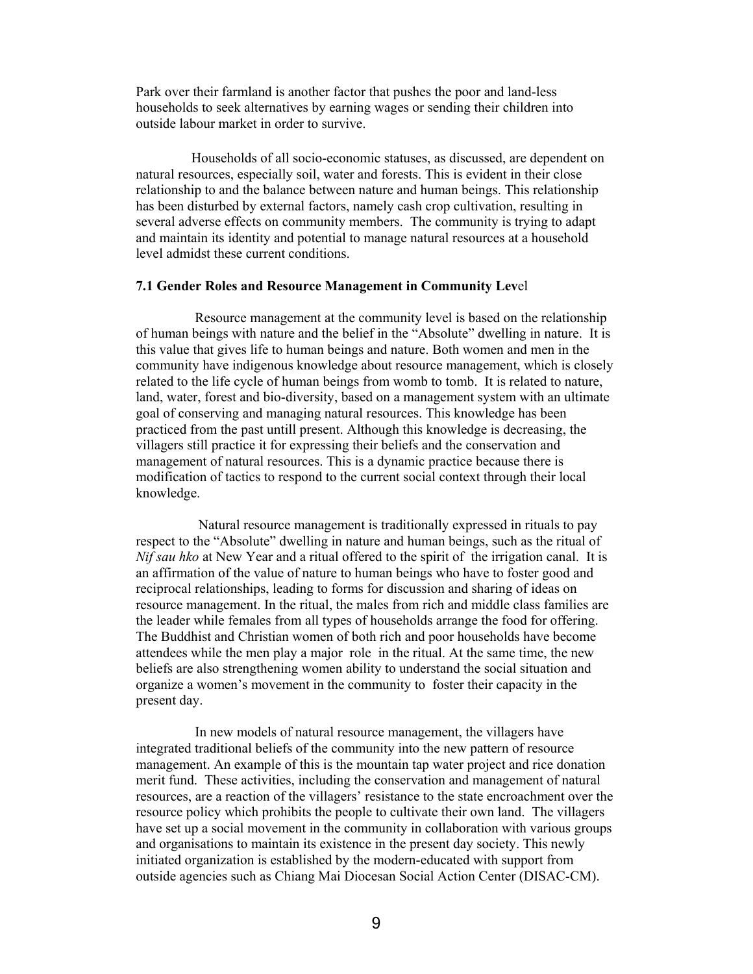Park over their farmland is another factor that pushes the poor and land-less households to seek alternatives by earning wages or sending their children into outside labour market in order to survive.

 Households of all socio-economic statuses, as discussed, are dependent on natural resources, especially soil, water and forests. This is evident in their close relationship to and the balance between nature and human beings. This relationship has been disturbed by external factors, namely cash crop cultivation, resulting in several adverse effects on community members. The community is trying to adapt and maintain its identity and potential to manage natural resources at a household level admidst these current conditions.

#### **7.1 Gender Roles and Resource Management in Community Lev**el

Resource management at the community level is based on the relationship of human beings with nature and the belief in the "Absolute" dwelling in nature. It is this value that gives life to human beings and nature. Both women and men in the community have indigenous knowledge about resource management, which is closely related to the life cycle of human beings from womb to tomb. It is related to nature, land, water, forest and bio-diversity, based on a management system with an ultimate goal of conserving and managing natural resources. This knowledge has been practiced from the past untill present. Although this knowledge is decreasing, the villagers still practice it for expressing their beliefs and the conservation and management of natural resources. This is a dynamic practice because there is modification of tactics to respond to the current social context through their local knowledge.

 Natural resource management is traditionally expressed in rituals to pay respect to the "Absolute" dwelling in nature and human beings, such as the ritual of *Nif sau hko* at New Year and a ritual offered to the spirit of the irrigation canal. It is an affirmation of the value of nature to human beings who have to foster good and reciprocal relationships, leading to forms for discussion and sharing of ideas on resource management. In the ritual, the males from rich and middle class families are the leader while females from all types of households arrange the food for offering. The Buddhist and Christian women of both rich and poor households have become attendees while the men play a major role in the ritual. At the same time, the new beliefs are also strengthening women ability to understand the social situation and organize a women's movement in the community to foster their capacity in the present day.

In new models of natural resource management, the villagers have integrated traditional beliefs of the community into the new pattern of resource management. An example of this is the mountain tap water project and rice donation merit fund. These activities, including the conservation and management of natural resources, are a reaction of the villagers' resistance to the state encroachment over the resource policy which prohibits the people to cultivate their own land. The villagers have set up a social movement in the community in collaboration with various groups and organisations to maintain its existence in the present day society. This newly initiated organization is established by the modern-educated with support from outside agencies such as Chiang Mai Diocesan Social Action Center (DISAC-CM).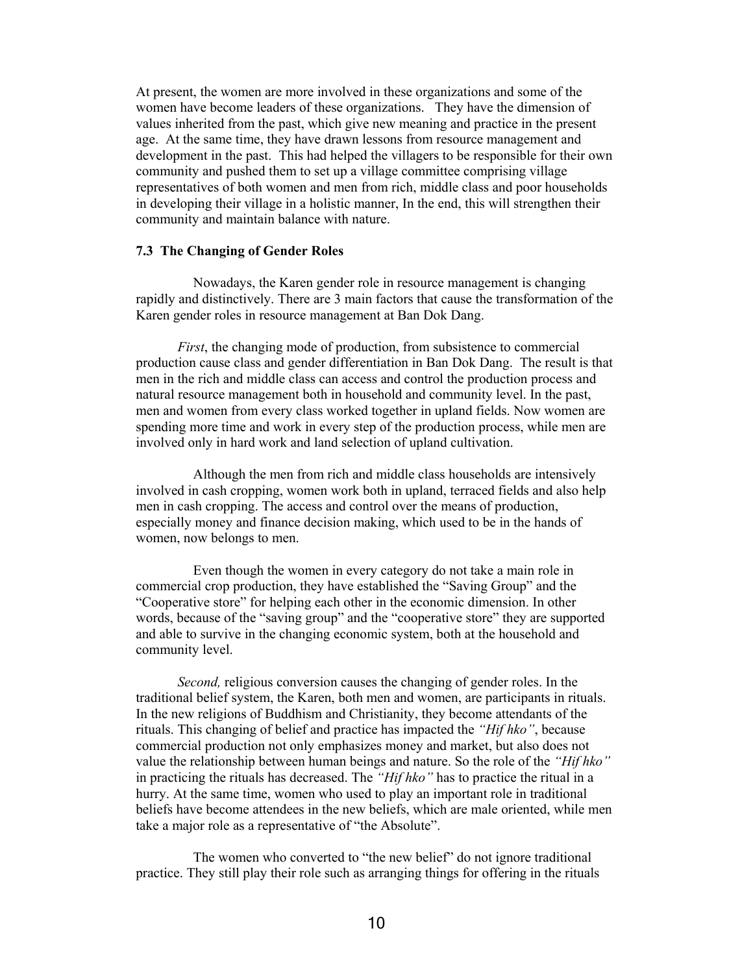At present, the women are more involved in these organizations and some of the women have become leaders of these organizations. They have the dimension of values inherited from the past, which give new meaning and practice in the present age. At the same time, they have drawn lessons from resource management and development in the past. This had helped the villagers to be responsible for their own community and pushed them to set up a village committee comprising village representatives of both women and men from rich, middle class and poor households in developing their village in a holistic manner, In the end, this will strengthen their community and maintain balance with nature.

### **7.3 The Changing of Gender Roles**

Nowadays, the Karen gender role in resource management is changing rapidly and distinctively. There are 3 main factors that cause the transformation of the Karen gender roles in resource management at Ban Dok Dang.

*First*, the changing mode of production, from subsistence to commercial production cause class and gender differentiation in Ban Dok Dang. The result is that men in the rich and middle class can access and control the production process and natural resource management both in household and community level. In the past, men and women from every class worked together in upland fields. Now women are spending more time and work in every step of the production process, while men are involved only in hard work and land selection of upland cultivation.

Although the men from rich and middle class households are intensively involved in cash cropping, women work both in upland, terraced fields and also help men in cash cropping. The access and control over the means of production, especially money and finance decision making, which used to be in the hands of women, now belongs to men.

Even though the women in every category do not take a main role in commercial crop production, they have established the "Saving Group" and the "Cooperative store" for helping each other in the economic dimension. In other words, because of the "saving group" and the "cooperative store" they are supported and able to survive in the changing economic system, both at the household and community level.

*Second,* religious conversion causes the changing of gender roles. In the traditional belief system, the Karen, both men and women, are participants in rituals. In the new religions of Buddhism and Christianity, they become attendants of the rituals. This changing of belief and practice has impacted the *"Hif hko"*, because commercial production not only emphasizes money and market, but also does not value the relationship between human beings and nature. So the role of the *"Hif hko"* in practicing the rituals has decreased. The *"Hif hko"* has to practice the ritual in a hurry. At the same time, women who used to play an important role in traditional beliefs have become attendees in the new beliefs, which are male oriented, while men take a major role as a representative of "the Absolute".

The women who converted to "the new belief" do not ignore traditional practice. They still play their role such as arranging things for offering in the rituals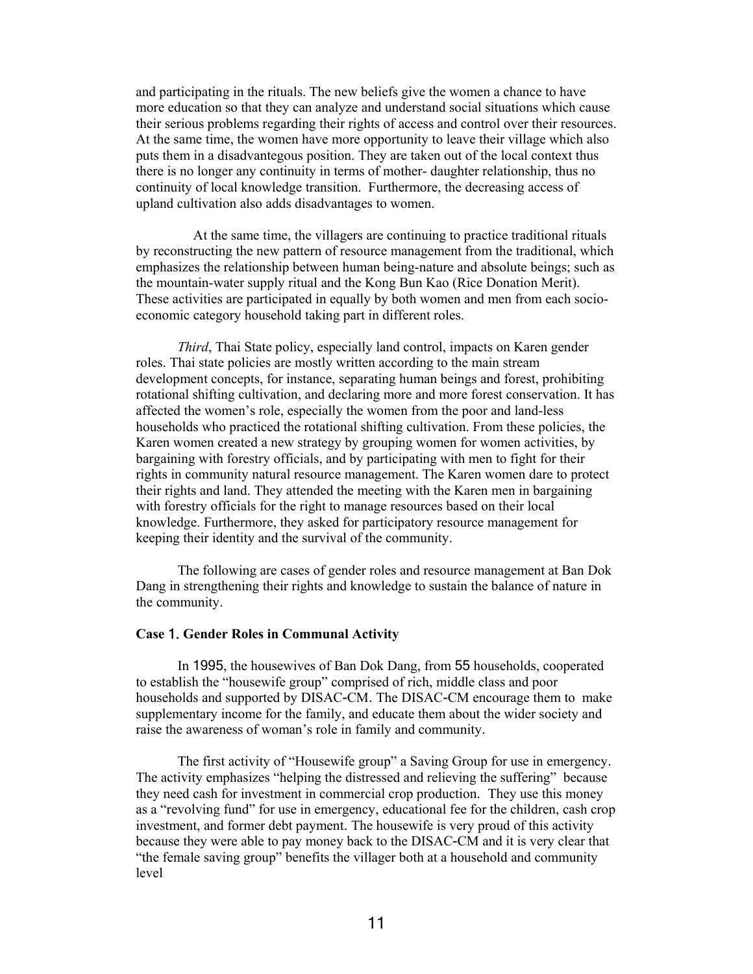and participating in the rituals. The new beliefs give the women a chance to have more education so that they can analyze and understand social situations which cause their serious problems regarding their rights of access and control over their resources. At the same time, the women have more opportunity to leave their village which also puts them in a disadvantegous position. They are taken out of the local context thus there is no longer any continuity in terms of mother- daughter relationship, thus no continuity of local knowledge transition. Furthermore, the decreasing access of upland cultivation also adds disadvantages to women.

At the same time, the villagers are continuing to practice traditional rituals by reconstructing the new pattern of resource management from the traditional, which emphasizes the relationship between human being-nature and absolute beings; such as the mountain-water supply ritual and the Kong Bun Kao (Rice Donation Merit). These activities are participated in equally by both women and men from each socioeconomic category household taking part in different roles.

*Third*, Thai State policy, especially land control, impacts on Karen gender roles. Thai state policies are mostly written according to the main stream development concepts, for instance, separating human beings and forest, prohibiting rotational shifting cultivation, and declaring more and more forest conservation. It has affected the women's role, especially the women from the poor and land-less households who practiced the rotational shifting cultivation. From these policies, the Karen women created a new strategy by grouping women for women activities, by bargaining with forestry officials, and by participating with men to fight for their rights in community natural resource management. The Karen women dare to protect their rights and land. They attended the meeting with the Karen men in bargaining with forestry officials for the right to manage resources based on their local knowledge. Furthermore, they asked for participatory resource management for keeping their identity and the survival of the community.

The following are cases of gender roles and resource management at Ban Dok Dang in strengthening their rights and knowledge to sustain the balance of nature in the community.

#### **Case** 1. **Gender Roles in Communal Activity**

 In 1995, the housewives of Ban Dok Dang, from 55 households, cooperated to establish the "housewife group" comprised of rich, middle class and poor households and supported by DISAC-CM. The DISAC-CM encourage them to make supplementary income for the family, and educate them about the wider society and raise the awareness of woman's role in family and community.

The first activity of "Housewife group" a Saving Group for use in emergency. The activity emphasizes "helping the distressed and relieving the suffering" because they need cash for investment in commercial crop production. They use this money as a "revolving fund" for use in emergency, educational fee for the children, cash crop investment, and former debt payment. The housewife is very proud of this activity because they were able to pay money back to the DISAC-CM and it is very clear that "the female saving group" benefits the villager both at a household and community level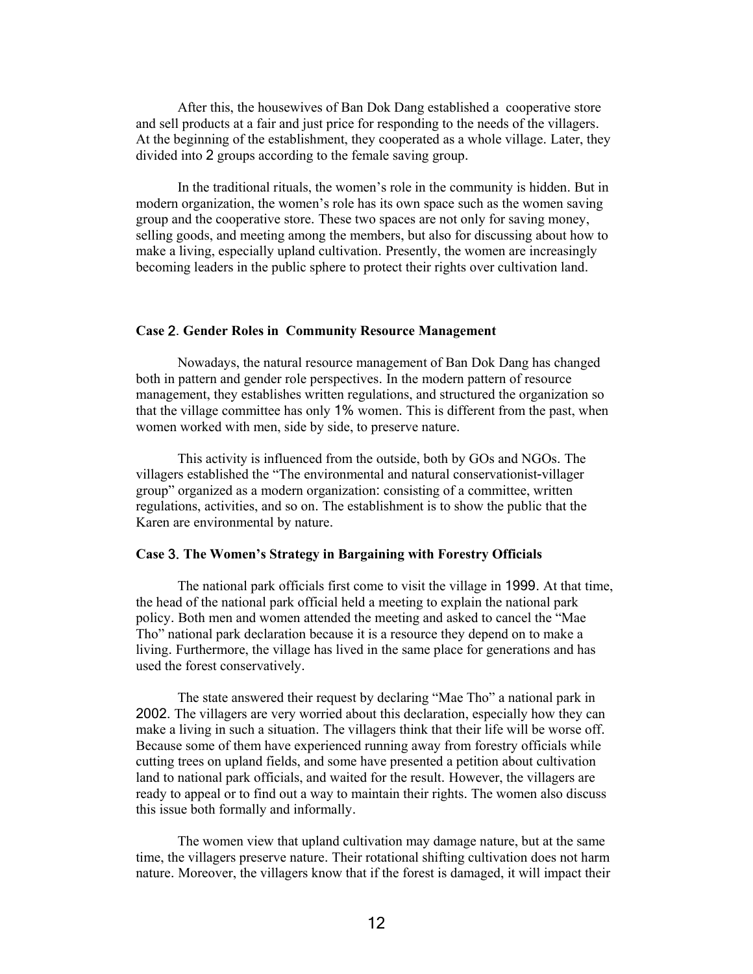After this, the housewives of Ban Dok Dang established a cooperative store and sell products at a fair and just price for responding to the needs of the villagers. At the beginning of the establishment, they cooperated as a whole village. Later, they divided into 2 groups according to the female saving group.

In the traditional rituals, the women's role in the community is hidden. But in modern organization, the women's role has its own space such as the women saving group and the cooperative store. These two spaces are not only for saving money, selling goods, and meeting among the members, but also for discussing about how to make a living, especially upland cultivation. Presently, the women are increasingly becoming leaders in the public sphere to protect their rights over cultivation land.

### **Case** 2. **Gender Roles in Community Resource Management**

Nowadays, the natural resource management of Ban Dok Dang has changed both in pattern and gender role perspectives. In the modern pattern of resource management, they establishes written regulations, and structured the organization so that the village committee has only 1% women. This is different from the past, when women worked with men, side by side, to preserve nature.

This activity is influenced from the outside, both by GOs and NGOs. The villagers established the "The environmental and natural conservationist-villager group" organized as a modern organization: consisting of a committee, written regulations, activities, and so on. The establishment is to show the public that the Karen are environmental by nature.

### **Case** 3. **The Women's Strategy in Bargaining with Forestry Officials**

 The national park officials first come to visit the village in 1999. At that time, the head of the national park official held a meeting to explain the national park policy. Both men and women attended the meeting and asked to cancel the "Mae Tho" national park declaration because it is a resource they depend on to make a living. Furthermore, the village has lived in the same place for generations and has used the forest conservatively.

The state answered their request by declaring "Mae Tho" a national park in 2002. The villagers are very worried about this declaration, especially how they can make a living in such a situation. The villagers think that their life will be worse off. Because some of them have experienced running away from forestry officials while cutting trees on upland fields, and some have presented a petition about cultivation land to national park officials, and waited for the result. However, the villagers are ready to appeal or to find out a way to maintain their rights. The women also discuss this issue both formally and informally.

 The women view that upland cultivation may damage nature, but at the same time, the villagers preserve nature. Their rotational shifting cultivation does not harm nature. Moreover, the villagers know that if the forest is damaged, it will impact their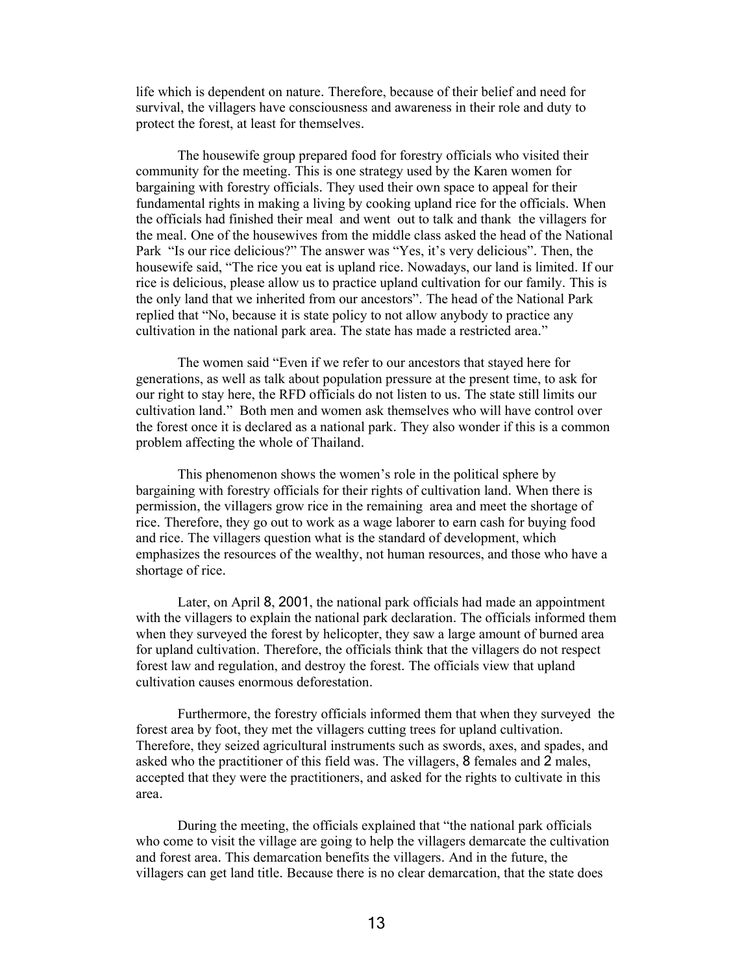life which is dependent on nature. Therefore, because of their belief and need for survival, the villagers have consciousness and awareness in their role and duty to protect the forest, at least for themselves.

 The housewife group prepared food for forestry officials who visited their community for the meeting. This is one strategy used by the Karen women for bargaining with forestry officials. They used their own space to appeal for their fundamental rights in making a living by cooking upland rice for the officials. When the officials had finished their meal and went out to talk and thank the villagers for the meal. One of the housewives from the middle class asked the head of the National Park "Is our rice delicious?" The answer was "Yes, it's very delicious". Then, the housewife said, "The rice you eat is upland rice. Nowadays, our land is limited. If our rice is delicious, please allow us to practice upland cultivation for our family. This is the only land that we inherited from our ancestors". The head of the National Park replied that "No, because it is state policy to not allow anybody to practice any cultivation in the national park area. The state has made a restricted area."

 The women said "Even if we refer to our ancestors that stayed here for generations, as well as talk about population pressure at the present time, to ask for our right to stay here, the RFD officials do not listen to us. The state still limits our cultivation land." Both men and women ask themselves who will have control over the forest once it is declared as a national park. They also wonder if this is a common problem affecting the whole of Thailand.

 This phenomenon shows the women's role in the political sphere by bargaining with forestry officials for their rights of cultivation land. When there is permission, the villagers grow rice in the remaining area and meet the shortage of rice. Therefore, they go out to work as a wage laborer to earn cash for buying food and rice. The villagers question what is the standard of development, which emphasizes the resources of the wealthy, not human resources, and those who have a shortage of rice.

 Later, on April 8, 2001, the national park officials had made an appointment with the villagers to explain the national park declaration. The officials informed them when they surveyed the forest by helicopter, they saw a large amount of burned area for upland cultivation. Therefore, the officials think that the villagers do not respect forest law and regulation, and destroy the forest. The officials view that upland cultivation causes enormous deforestation.

 Furthermore, the forestry officials informed them that when they surveyed the forest area by foot, they met the villagers cutting trees for upland cultivation. Therefore, they seized agricultural instruments such as swords, axes, and spades, and asked who the practitioner of this field was. The villagers, 8 females and 2 males, accepted that they were the practitioners, and asked for the rights to cultivate in this area.

 During the meeting, the officials explained that "the national park officials who come to visit the village are going to help the villagers demarcate the cultivation and forest area. This demarcation benefits the villagers. And in the future, the villagers can get land title. Because there is no clear demarcation, that the state does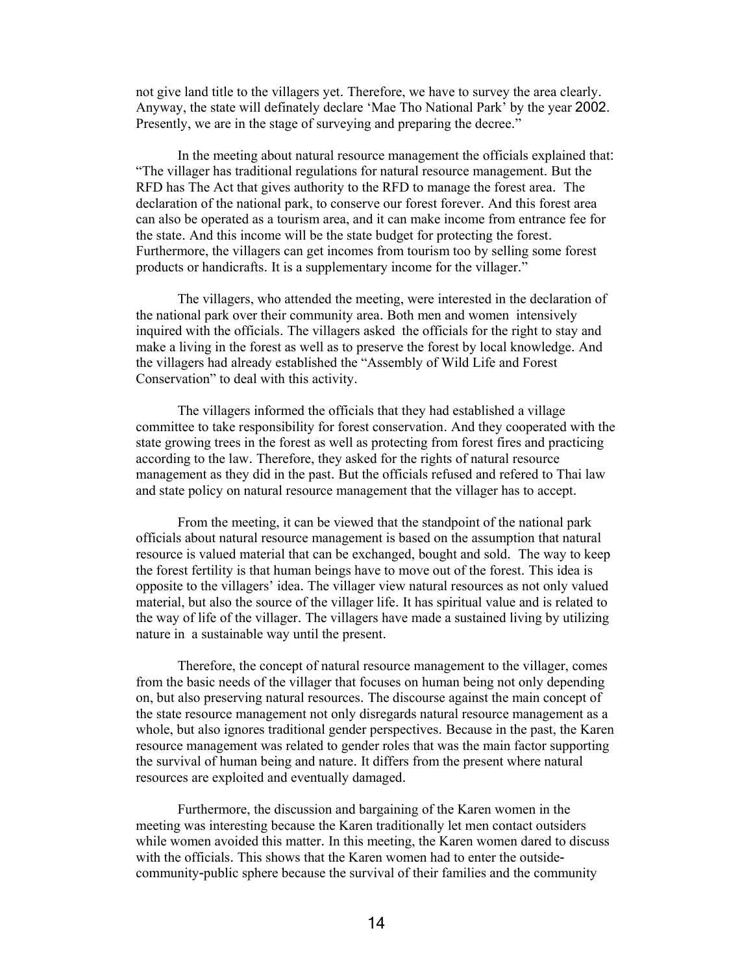not give land title to the villagers yet. Therefore, we have to survey the area clearly. Anyway, the state will definately declare 'Mae Tho National Park' by the year 2002. Presently, we are in the stage of surveying and preparing the decree."

 In the meeting about natural resource management the officials explained that: "The villager has traditional regulations for natural resource management. But the RFD has The Act that gives authority to the RFD to manage the forest area. The declaration of the national park, to conserve our forest forever. And this forest area can also be operated as a tourism area, and it can make income from entrance fee for the state. And this income will be the state budget for protecting the forest. Furthermore, the villagers can get incomes from tourism too by selling some forest products or handicrafts. It is a supplementary income for the villager."

 The villagers, who attended the meeting, were interested in the declaration of the national park over their community area. Both men and women intensively inquired with the officials. The villagers asked the officials for the right to stay and make a living in the forest as well as to preserve the forest by local knowledge. And the villagers had already established the "Assembly of Wild Life and Forest Conservation" to deal with this activity.

 The villagers informed the officials that they had established a village committee to take responsibility for forest conservation. And they cooperated with the state growing trees in the forest as well as protecting from forest fires and practicing according to the law. Therefore, they asked for the rights of natural resource management as they did in the past. But the officials refused and refered to Thai law and state policy on natural resource management that the villager has to accept.

 From the meeting, it can be viewed that the standpoint of the national park officials about natural resource management is based on the assumption that natural resource is valued material that can be exchanged, bought and sold. The way to keep the forest fertility is that human beings have to move out of the forest. This idea is opposite to the villagers' idea. The villager view natural resources as not only valued material, but also the source of the villager life. It has spiritual value and is related to the way of life of the villager. The villagers have made a sustained living by utilizing nature in a sustainable way until the present.

 Therefore, the concept of natural resource management to the villager, comes from the basic needs of the villager that focuses on human being not only depending on, but also preserving natural resources. The discourse against the main concept of the state resource management not only disregards natural resource management as a whole, but also ignores traditional gender perspectives. Because in the past, the Karen resource management was related to gender roles that was the main factor supporting the survival of human being and nature. It differs from the present where natural resources are exploited and eventually damaged.

 Furthermore, the discussion and bargaining of the Karen women in the meeting was interesting because the Karen traditionally let men contact outsiders while women avoided this matter. In this meeting, the Karen women dared to discuss with the officials. This shows that the Karen women had to enter the outsidecommunity-public sphere because the survival of their families and the community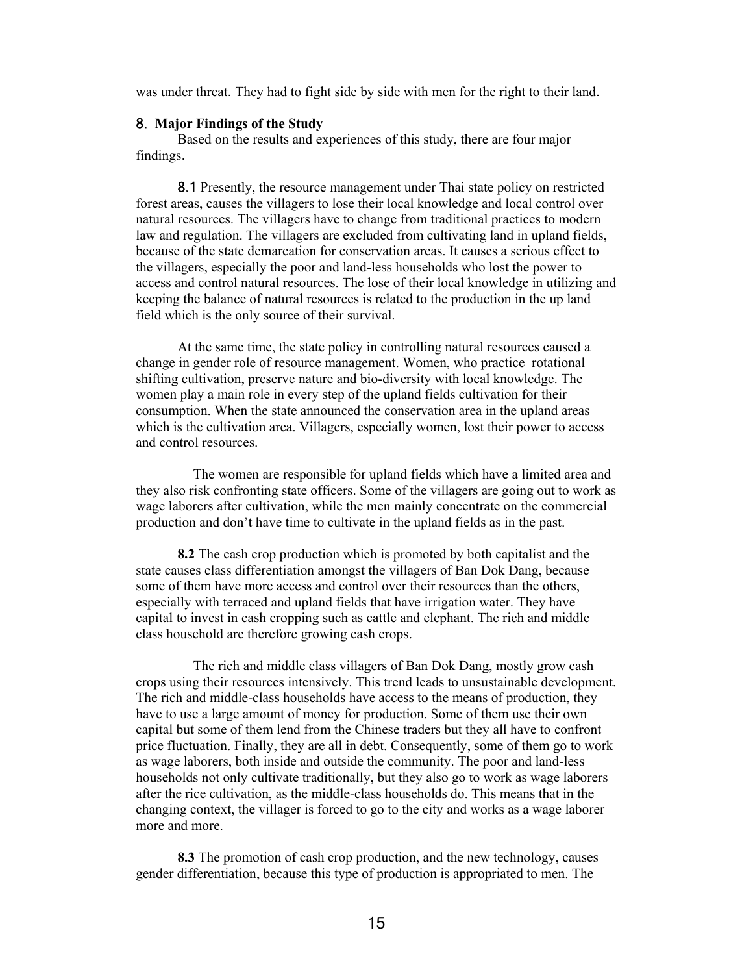was under threat. They had to fight side by side with men for the right to their land.

#### 8. **Major Findings of the Study**

Based on the results and experiences of this study, there are four major findings.

8.1 Presently, the resource management under Thai state policy on restricted forest areas, causes the villagers to lose their local knowledge and local control over natural resources. The villagers have to change from traditional practices to modern law and regulation. The villagers are excluded from cultivating land in upland fields, because of the state demarcation for conservation areas. It causes a serious effect to the villagers, especially the poor and land-less households who lost the power to access and control natural resources. The lose of their local knowledge in utilizing and keeping the balance of natural resources is related to the production in the up land field which is the only source of their survival.

 At the same time, the state policy in controlling natural resources caused a change in gender role of resource management. Women, who practice rotational shifting cultivation, preserve nature and bio-diversity with local knowledge. The women play a main role in every step of the upland fields cultivation for their consumption. When the state announced the conservation area in the upland areas which is the cultivation area. Villagers, especially women, lost their power to access and control resources.

The women are responsible for upland fields which have a limited area and they also risk confronting state officers. Some of the villagers are going out to work as wage laborers after cultivation, while the men mainly concentrate on the commercial production and don't have time to cultivate in the upland fields as in the past.

**8.2** The cash crop production which is promoted by both capitalist and the state causes class differentiation amongst the villagers of Ban Dok Dang, because some of them have more access and control over their resources than the others, especially with terraced and upland fields that have irrigation water. They have capital to invest in cash cropping such as cattle and elephant. The rich and middle class household are therefore growing cash crops.

The rich and middle class villagers of Ban Dok Dang, mostly grow cash crops using their resources intensively. This trend leads to unsustainable development. The rich and middle-class households have access to the means of production, they have to use a large amount of money for production. Some of them use their own capital but some of them lend from the Chinese traders but they all have to confront price fluctuation. Finally, they are all in debt. Consequently, some of them go to work as wage laborers, both inside and outside the community. The poor and land-less households not only cultivate traditionally, but they also go to work as wage laborers after the rice cultivation, as the middle-class households do. This means that in the changing context, the villager is forced to go to the city and works as a wage laborer more and more.

**8.3** The promotion of cash crop production, and the new technology, causes gender differentiation, because this type of production is appropriated to men. The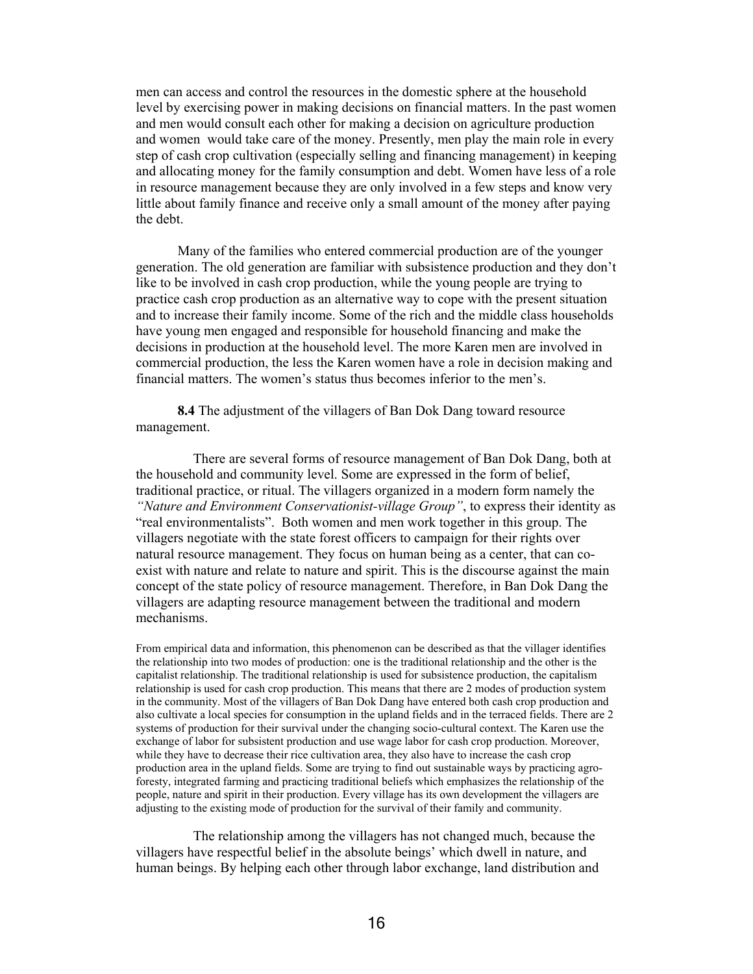men can access and control the resources in the domestic sphere at the household level by exercising power in making decisions on financial matters. In the past women and men would consult each other for making a decision on agriculture production and women would take care of the money. Presently, men play the main role in every step of cash crop cultivation (especially selling and financing management) in keeping and allocating money for the family consumption and debt. Women have less of a role in resource management because they are only involved in a few steps and know very little about family finance and receive only a small amount of the money after paying the debt.

 Many of the families who entered commercial production are of the younger generation. The old generation are familiar with subsistence production and they don't like to be involved in cash crop production, while the young people are trying to practice cash crop production as an alternative way to cope with the present situation and to increase their family income. Some of the rich and the middle class households have young men engaged and responsible for household financing and make the decisions in production at the household level. The more Karen men are involved in commercial production, the less the Karen women have a role in decision making and financial matters. The women's status thus becomes inferior to the men's.

**8.4** The adjustment of the villagers of Ban Dok Dang toward resource management.

There are several forms of resource management of Ban Dok Dang, both at the household and community level. Some are expressed in the form of belief, traditional practice, or ritual. The villagers organized in a modern form namely the *"Nature and Environment Conservationist-village Group"*, to express their identity as "real environmentalists". Both women and men work together in this group. The villagers negotiate with the state forest officers to campaign for their rights over natural resource management. They focus on human being as a center, that can coexist with nature and relate to nature and spirit. This is the discourse against the main concept of the state policy of resource management. Therefore, in Ban Dok Dang the villagers are adapting resource management between the traditional and modern mechanisms.

From empirical data and information, this phenomenon can be described as that the villager identifies the relationship into two modes of production: one is the traditional relationship and the other is the capitalist relationship. The traditional relationship is used for subsistence production, the capitalism relationship is used for cash crop production. This means that there are 2 modes of production system in the community. Most of the villagers of Ban Dok Dang have entered both cash crop production and also cultivate a local species for consumption in the upland fields and in the terraced fields. There are 2 systems of production for their survival under the changing socio-cultural context. The Karen use the exchange of labor for subsistent production and use wage labor for cash crop production. Moreover, while they have to decrease their rice cultivation area, they also have to increase the cash crop production area in the upland fields. Some are trying to find out sustainable ways by practicing agroforesty, integrated farming and practicing traditional beliefs which emphasizes the relationship of the people, nature and spirit in their production. Every village has its own development the villagers are adjusting to the existing mode of production for the survival of their family and community.

The relationship among the villagers has not changed much, because the villagers have respectful belief in the absolute beings' which dwell in nature, and human beings. By helping each other through labor exchange, land distribution and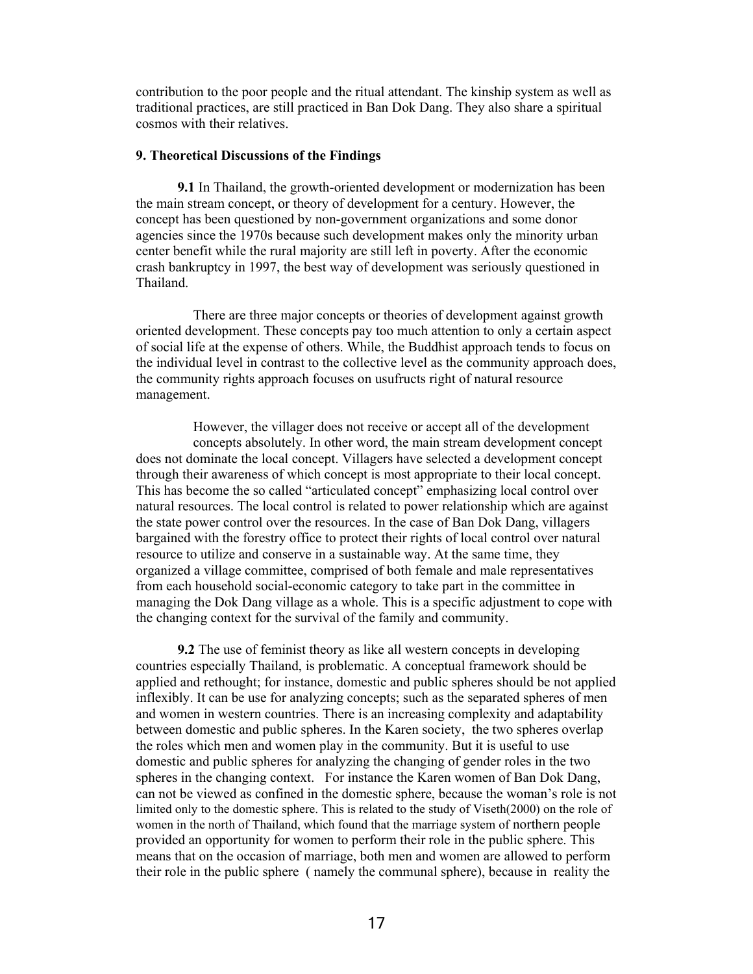contribution to the poor people and the ritual attendant. The kinship system as well as traditional practices, are still practiced in Ban Dok Dang. They also share a spiritual cosmos with their relatives.

#### **9. Theoretical Discussions of the Findings**

**9.1** In Thailand, the growth-oriented development or modernization has been the main stream concept, or theory of development for a century. However, the concept has been questioned by non-government organizations and some donor agencies since the 1970s because such development makes only the minority urban center benefit while the rural majority are still left in poverty. After the economic crash bankruptcy in 1997, the best way of development was seriously questioned in Thailand.

There are three major concepts or theories of development against growth oriented development. These concepts pay too much attention to only a certain aspect of social life at the expense of others. While, the Buddhist approach tends to focus on the individual level in contrast to the collective level as the community approach does, the community rights approach focuses on usufructs right of natural resource management.

However, the villager does not receive or accept all of the development concepts absolutely. In other word, the main stream development concept does not dominate the local concept. Villagers have selected a development concept through their awareness of which concept is most appropriate to their local concept. This has become the so called "articulated concept" emphasizing local control over natural resources. The local control is related to power relationship which are against the state power control over the resources. In the case of Ban Dok Dang, villagers bargained with the forestry office to protect their rights of local control over natural resource to utilize and conserve in a sustainable way. At the same time, they organized a village committee, comprised of both female and male representatives from each household social-economic category to take part in the committee in managing the Dok Dang village as a whole. This is a specific adjustment to cope with the changing context for the survival of the family and community.

**9.2** The use of feminist theory as like all western concepts in developing countries especially Thailand, is problematic. A conceptual framework should be applied and rethought; for instance, domestic and public spheres should be not applied inflexibly. It can be use for analyzing concepts; such as the separated spheres of men and women in western countries. There is an increasing complexity and adaptability between domestic and public spheres. In the Karen society, the two spheres overlap the roles which men and women play in the community. But it is useful to use domestic and public spheres for analyzing the changing of gender roles in the two spheres in the changing context. For instance the Karen women of Ban Dok Dang, can not be viewed as confined in the domestic sphere, because the woman's role is not limited only to the domestic sphere. This is related to the study of Viseth(2000) on the role of women in the north of Thailand, which found that the marriage system of northern people provided an opportunity for women to perform their role in the public sphere. This means that on the occasion of marriage, both men and women are allowed to perform their role in the public sphere ( namely the communal sphere), because in reality the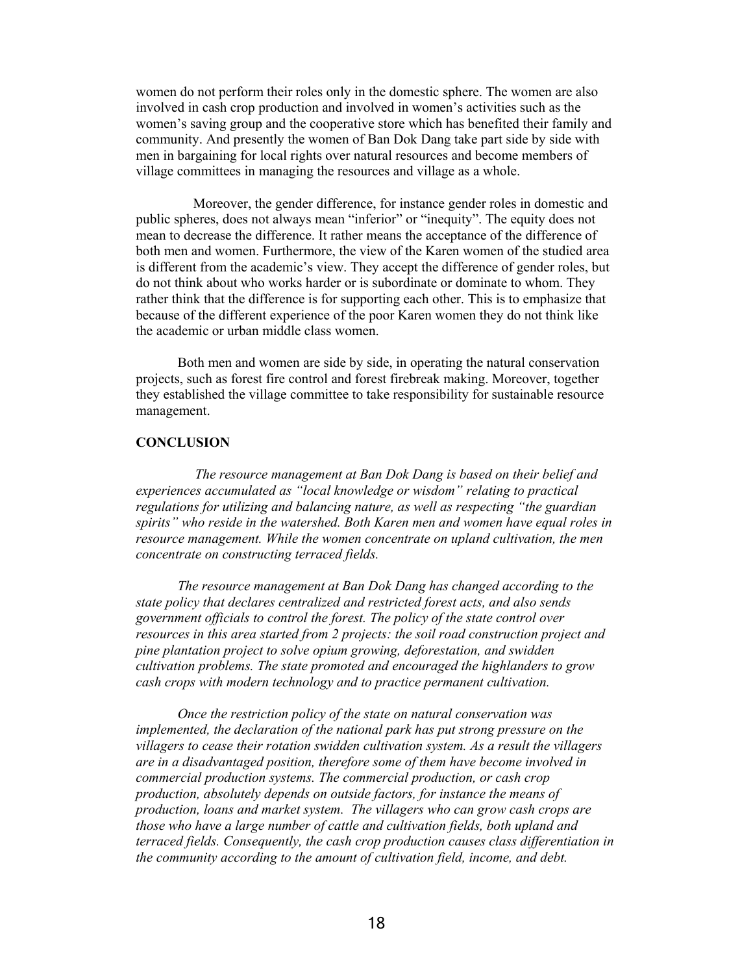women do not perform their roles only in the domestic sphere. The women are also involved in cash crop production and involved in women's activities such as the women's saving group and the cooperative store which has benefited their family and community. And presently the women of Ban Dok Dang take part side by side with men in bargaining for local rights over natural resources and become members of village committees in managing the resources and village as a whole.

Moreover, the gender difference, for instance gender roles in domestic and public spheres, does not always mean "inferior" or "inequity". The equity does not mean to decrease the difference. It rather means the acceptance of the difference of both men and women. Furthermore, the view of the Karen women of the studied area is different from the academic's view. They accept the difference of gender roles, but do not think about who works harder or is subordinate or dominate to whom. They rather think that the difference is for supporting each other. This is to emphasize that because of the different experience of the poor Karen women they do not think like the academic or urban middle class women.

Both men and women are side by side, in operating the natural conservation projects, such as forest fire control and forest firebreak making. Moreover, together they established the village committee to take responsibility for sustainable resource management.

# **CONCLUSION**

*The resource management at Ban Dok Dang is based on their belief and experiences accumulated as "local knowledge or wisdom" relating to practical regulations for utilizing and balancing nature, as well as respecting "the guardian spirits" who reside in the watershed. Both Karen men and women have equal roles in resource management. While the women concentrate on upland cultivation, the men concentrate on constructing terraced fields.* 

 *The resource management at Ban Dok Dang has changed according to the state policy that declares centralized and restricted forest acts, and also sends government officials to control the forest. The policy of the state control over resources in this area started from 2 projects: the soil road construction project and pine plantation project to solve opium growing, deforestation, and swidden cultivation problems. The state promoted and encouraged the highlanders to grow cash crops with modern technology and to practice permanent cultivation.* 

*Once the restriction policy of the state on natural conservation was implemented, the declaration of the national park has put strong pressure on the villagers to cease their rotation swidden cultivation system. As a result the villagers are in a disadvantaged position, therefore some of them have become involved in commercial production systems. The commercial production, or cash crop production, absolutely depends on outside factors, for instance the means of production, loans and market system. The villagers who can grow cash crops are those who have a large number of cattle and cultivation fields, both upland and terraced fields. Consequently, the cash crop production causes class differentiation in the community according to the amount of cultivation field, income, and debt.*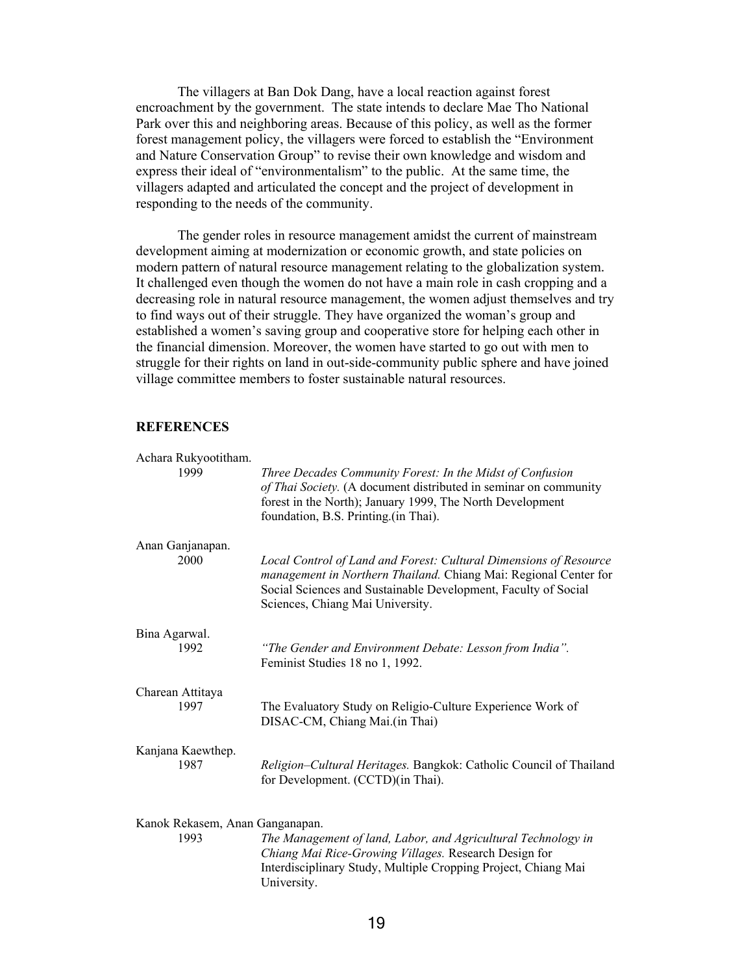The villagers at Ban Dok Dang, have a local reaction against forest encroachment by the government. The state intends to declare Mae Tho National Park over this and neighboring areas. Because of this policy, as well as the former forest management policy, the villagers were forced to establish the "Environment and Nature Conservation Group" to revise their own knowledge and wisdom and express their ideal of "environmentalism" to the public. At the same time, the villagers adapted and articulated the concept and the project of development in responding to the needs of the community.

 The gender roles in resource management amidst the current of mainstream development aiming at modernization or economic growth, and state policies on modern pattern of natural resource management relating to the globalization system. It challenged even though the women do not have a main role in cash cropping and a decreasing role in natural resource management, the women adjust themselves and try to find ways out of their struggle. They have organized the woman's group and established a women's saving group and cooperative store for helping each other in the financial dimension. Moreover, the women have started to go out with men to struggle for their rights on land in out-side-community public sphere and have joined village committee members to foster sustainable natural resources.

### **REFERENCES**

| Achara Rukyootitham.<br>1999            | Three Decades Community Forest: In the Midst of Confusion<br>of Thai Society. (A document distributed in seminar on community<br>forest in the North); January 1999, The North Development<br>foundation, B.S. Printing.(in Thai).          |
|-----------------------------------------|---------------------------------------------------------------------------------------------------------------------------------------------------------------------------------------------------------------------------------------------|
| Anan Ganjanapan.<br>2000                | Local Control of Land and Forest: Cultural Dimensions of Resource<br>management in Northern Thailand. Chiang Mai: Regional Center for<br>Social Sciences and Sustainable Development, Faculty of Social<br>Sciences, Chiang Mai University. |
| Bina Agarwal.                           | "The Gender and Environment Debate: Lesson from India".                                                                                                                                                                                     |
| 1992                                    | Feminist Studies 18 no 1, 1992.                                                                                                                                                                                                             |
| Charean Attitaya                        | The Evaluatory Study on Religio-Culture Experience Work of                                                                                                                                                                                  |
| 1997                                    | DISAC-CM, Chiang Mai.(in Thai)                                                                                                                                                                                                              |
| Kanjana Kaewthep.                       | Religion-Cultural Heritages. Bangkok: Catholic Council of Thailand                                                                                                                                                                          |
| 1987                                    | for Development. (CCTD)(in Thai).                                                                                                                                                                                                           |
| Kanok Rekasem, Anan Ganganapan.<br>1993 | The Management of land, Labor, and Agricultural Technology in<br>Chiang Mai Rice-Growing Villages. Research Design for<br>Interdisciplinary Study, Multiple Cropping Project, Chiang Mai<br>University.                                     |